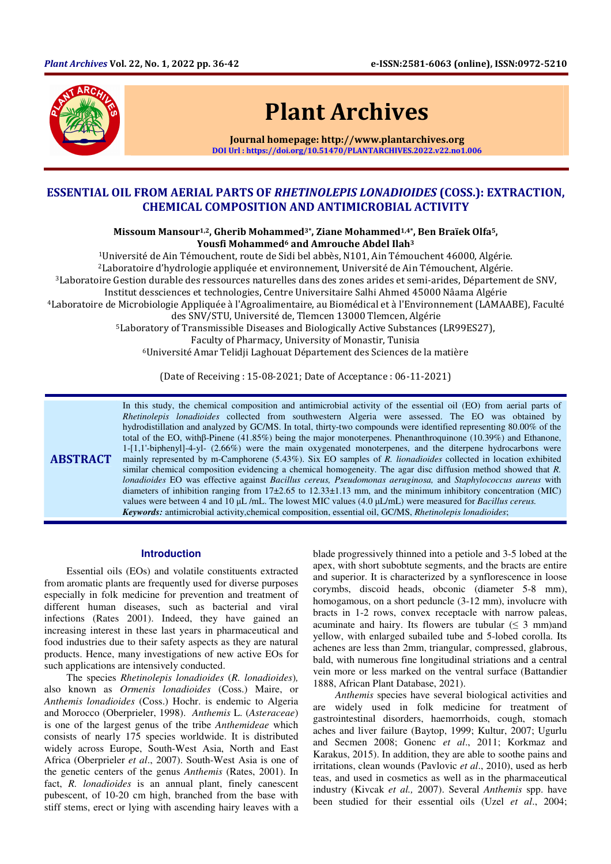

# Plant Archives

Journal homepage: http://www.plantarchives.org DOI Url : https://doi.org/10.51470/PLANTARCHIVES.2022.v22.no1.006

## ESSENTIAL OIL FROM AERIAL PARTS OF RHETINOLEPIS LONADIOIDES (COSS.): EXTRACTION, CHEMICAL COMPOSITION AND ANTIMICROBIAL ACTIVITY

Missoum Mansour<sup>1,2</sup>, Gherib Mohammed<sup>3\*</sup>, Ziane Mohammed<sup>1,4\*</sup>, Ben Braïek Olfa<sup>5</sup>, Yousfi Mohammed<sup>6</sup> and Amrouche Abdel Ilah<sup>3</sup>

Université de Ain Témouchent, route de Sidi bel abbès, N101, Ain Témouchent 46000, Algérie. Laboratoire d'hydrologie appliquée et environnement, Université de Ain Témouchent, Algérie. Laboratoire Gestion durable des ressources naturelles dans des zones arides et semi-arides, Département de SNV, Institut dessciences et technologies, Centre Universitaire Salhi Ahmed 45000 Nâama Algérie Laboratoire de Microbiologie Appliquée à l'Agroalimentaire, au Biomédical et à l'Environnement (LAMAABE), Faculté des SNV/STU, Université de, Tlemcen 13000 Tlemcen, Algérie Laboratory of Transmissible Diseases and Biologically Active Substances (LR99ES27), Faculty of Pharmacy, University of Monastir, Tunisia Université Amar Telidji Laghouat Département des Sciences de la matière

(Date of Receiving : 15-08-2021; Date of Acceptance : 06-11-2021)

**ABSTRACT** In this study, the chemical composition and antimicrobial activity of the essential oil (EO) from aerial parts of *Rhetinolepis lonadioides* collected from southwestern Algeria were assessed. The EO was obtained by hydrodistillation and analyzed by GC/MS. In total, thirty-two compounds were identified representing 80.00% of the total of the EO, withβ-Pinene (41.85%) being the major monoterpenes. Phenanthroquinone (10.39%) and Ethanone, 1-[1,1'-biphenyl]-4-yl- (2.66%) were the main oxygenated monoterpenes, and the diterpene hydrocarbons were mainly represented by m-Camphorene (5.43%). Six EO samples of *R. lionadioides* collected in location exhibited similar chemical composition evidencing a chemical homogeneity. The agar disc diffusion method showed that *R. lonadioides* EO was effective against *Bacillus cereus, Pseudomonas aeruginosa,* and *Staphylococcus aureus* with diameters of inhibition ranging from 17±2.65 to 12.33±1.13 mm, and the minimum inhibitory concentration (MIC) values were between 4 and 10 µL /mL. The lowest MIC values (4.0 µL/mL) were measured for *Bacillus cereus. Keywords:* antimicrobial activity,chemical composition, essential oil, GC/MS, *Rhetinolepis lonadioides*;

#### **Introduction**

Essential oils (EOs) and volatile constituents extracted from aromatic plants are frequently used for diverse purposes especially in folk medicine for prevention and treatment of different human diseases, such as bacterial and viral infections (Rates 2001). Indeed, they have gained an increasing interest in these last years in pharmaceutical and food industries due to their safety aspects as they are natural products. Hence, many investigations of new active EOs for such applications are intensively conducted.

The species *Rhetinolepis lonadioides* (*R. lonadioides*)*,* also known as *Ormenis lonadioides* (Coss.) Maire, or *Anthemis lonadioides* (Coss.) Hochr. is endemic to Algeria and Morocco (Oberprieler, 1998). *Anthemis* L. (*Asteraceae*) is one of the largest genus of the tribe *Anthemideae* which consists of nearly 175 species worldwide. It is distributed widely across Europe, South-West Asia, North and East Africa (Oberprieler *et al*., 2007). South-West Asia is one of the genetic centers of the genus *Anthemis* (Rates, 2001). In fact, *R. lonadioides* is an annual plant, finely canescent pubescent, of 10-20 cm high, branched from the base with stiff stems, erect or lying with ascending hairy leaves with a

blade progressively thinned into a petiole and 3-5 lobed at the apex, with short subobtute segments, and the bracts are entire and superior. It is characterized by a synflorescence in loose corymbs, discoid heads, obconic (diameter 5-8 mm), homogamous, on a short peduncle (3-12 mm), involucre with bracts in 1-2 rows, convex receptacle with narrow paleas, acuminate and hairy. Its flowers are tubular  $( \leq 3 \text{ mm})$  and yellow, with enlarged subailed tube and 5-lobed corolla. Its achenes are less than 2mm, triangular, compressed, glabrous, bald, with numerous fine longitudinal striations and a central vein more or less marked on the ventral surface (Battandier 1888, African Plant Database, 2021).

*Anthemis* species have several biological activities and are widely used in folk medicine for treatment of gastrointestinal disorders, haemorrhoids, cough, stomach aches and liver failure (Baytop, 1999; Kultur, 2007; Ugurlu and Secmen 2008; Gonenc *et al*., 2011; Korkmaz and Karakus, 2015). In addition, they are able to soothe pains and irritations, clean wounds (Pavlovic *et al*., 2010), used as herb teas, and used in cosmetics as well as in the pharmaceutical industry (Kivcak *et al.,* 2007). Several *Anthemis* spp. have been studied for their essential oils (Uzel *et al*., 2004;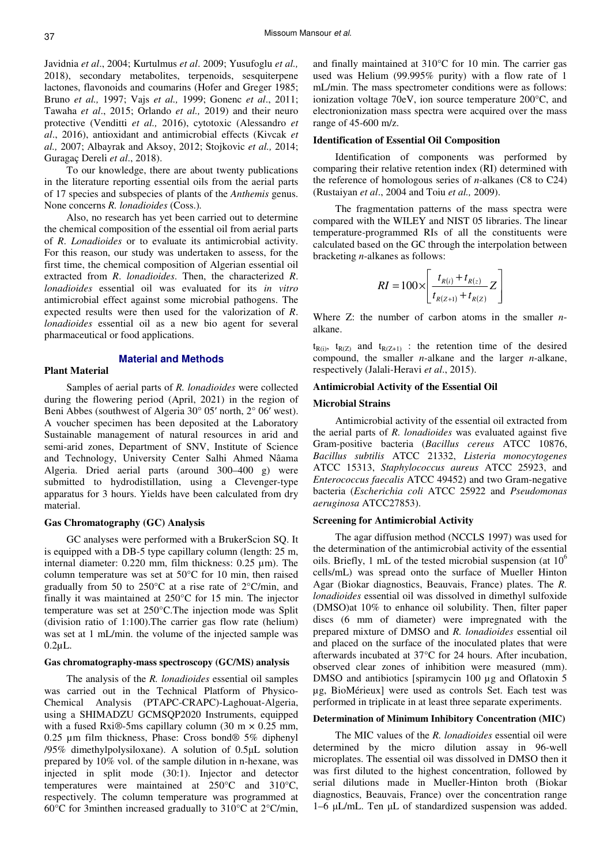Javidnia *et al*., 2004; Kurtulmus *et al*. 2009; Yusufoglu *et al.,* 2018), secondary metabolites, terpenoids, sesquiterpene lactones, flavonoids and coumarins (Hofer and Greger 1985; Bruno *et al.,* 1997; Vajs *et al.,* 1999; Gonenc *et al*., 2011; Tawaha *et al*., 2015; Orlando *et al.,* 2019) and their neuro protective (Venditti *et al.,* 2016), cytotoxic (Alessandro *et al*., 2016), antioxidant and antimicrobial effects (Kivcak *et al.,* 2007; Albayrak and Aksoy, 2012; Stojkovic *et al.,* 2014; Guragaç Dereli *et al*., 2018).

To our knowledge, there are about twenty publications in the literature reporting essential oils from the aerial parts of 17 species and subspecies of plants of the *Anthemis* genus. None concerns *R. lonadioides* (Coss.)*.*

Also, no research has yet been carried out to determine the chemical composition of the essential oil from aerial parts of *R*. *Lonadioides* or to evaluate its antimicrobial activity. For this reason, our study was undertaken to assess, for the first time, the chemical composition of Algerian essential oil extracted from *R*. *lonadioides*. Then, the characterized *R*. *lonadioides* essential oil was evaluated for its *in vitro* antimicrobial effect against some microbial pathogens. The expected results were then used for the valorization of *R*. *lonadioides* essential oil as a new bio agent for several pharmaceutical or food applications.

#### **Material and Methods**

### **Plant Material**

Samples of aerial parts of *R. lonadioides* were collected during the flowering period (April, 2021) in the region of Beni Abbes (southwest of Algeria 30° 05′ north, 2° 06′ west). A voucher specimen has been deposited at the Laboratory Sustainable management of natural resources in arid and semi-arid zones, Department of SNV, Institute of Science and Technology, University Center Salhi Ahmed Nâama Algeria. Dried aerial parts (around 300–400 g) were submitted to hydrodistillation, using a Clevenger-type apparatus for 3 hours. Yields have been calculated from dry material.

#### **Gas Chromatography (GC) Analysis**

GC analyses were performed with a BrukerScion SQ. It is equipped with a DB-5 type capillary column (length: 25 m, internal diameter: 0.220 mm, film thickness: 0.25 µm). The column temperature was set at 50°C for 10 min, then raised gradually from 50 to 250°C at a rise rate of 2°C/min, and finally it was maintained at 250°C for 15 min. The injector temperature was set at 250°C.The injection mode was Split (division ratio of 1:100).The carrier gas flow rate (helium) was set at 1 mL/min. the volume of the injected sample was 0.2µL.

## **Gas chromatography-mass spectroscopy (GC/MS) analysis**

The analysis of the *R. lonadioides* essential oil samples was carried out in the Technical Platform of Physico-Chemical Analysis (PTAPC-CRAPC)-Laghouat-Algeria, using a SHIMADZU GCMSQP2020 Instruments, equipped with a fused Rxi®-5ms capillary column (30 m  $\times$  0.25 mm, 0.25 µm film thickness, Phase: Cross bond® 5% diphenyl /95% dimethylpolysiloxane). A solution of 0.5µL solution prepared by 10% vol. of the sample dilution in n-hexane, was injected in split mode (30:1). Injector and detector temperatures were maintained at 250°C and 310°C, respectively. The column temperature was programmed at 60°C for 3minthen increased gradually to 310°C at 2°C/min, and finally maintained at 310°C for 10 min. The carrier gas used was Helium (99.995% purity) with a flow rate of 1 mL/min. The mass spectrometer conditions were as follows: ionization voltage 70eV, ion source temperature 200°C, and electronionization mass spectra were acquired over the mass range of 45-600 m/z.

#### **Identification of Essential Oil Composition**

Identification of components was performed by comparing their relative retention index (RI) determined with the reference of homologous series of *n*-alkanes (C8 to C24) (Rustaiyan *et al*., 2004 and Toiu *et al.,* 2009).

The fragmentation patterns of the mass spectra were compared with the WILEY and NIST 05 libraries. The linear temperature-programmed RIs of all the constituents were calculated based on the GC through the interpolation between bracketing *n*-alkanes as follows:

$$
RI = 100 \times \left[ \frac{t_{R(i)} + t_{R(z)}}{t_{R(Z+1)} + t_{R(Z)}} Z \right]
$$

Where Z: the number of carbon atoms in the smaller *n*alkane.

 $t_{R(i)}$ ,  $t_{R(Z)}$  and  $t_{R(Z+1)}$  : the retention time of the desired compound, the smaller *n*-alkane and the larger *n*-alkane, respectively (Jalali-Heravi *et al*., 2015).

## **Antimicrobial Activity of the Essential Oil**

#### **Microbial Strains**

Antimicrobial activity of the essential oil extracted from the aerial parts of *R. lonadioides* was evaluated against five Gram-positive bacteria (*Bacillus cereus* ATCC 10876, *Bacillus subtilis* ATCC 21332, *Listeria monocytogenes* ATCC 15313, *Staphylococcus aureus* ATCC 25923, and *Enterococcus faecalis* ATCC 49452) and two Gram-negative bacteria (*Escherichia coli* ATCC 25922 and *Pseudomonas aeruginosa* ATCC27853).

#### **Screening for Antimicrobial Activity**

The agar diffusion method (NCCLS 1997) was used for the determination of the antimicrobial activity of the essential oils. Briefly, 1 mL of the tested microbial suspension (at  $10<sup>6</sup>$ cells/mL) was spread onto the surface of Mueller Hinton Agar (Biokar diagnostics, Beauvais, France) plates. The *R. lonadioides* essential oil was dissolved in dimethyl sulfoxide (DMSO)at 10% to enhance oil solubility. Then, filter paper discs (6 mm of diameter) were impregnated with the prepared mixture of DMSO and *R. lonadioides* essential oil and placed on the surface of the inoculated plates that were afterwards incubated at 37°C for 24 hours. After incubation, observed clear zones of inhibition were measured (mm). DMSO and antibiotics [spiramycin 100 µg and Oflatoxin 5 µg, BioMérieux] were used as controls Set. Each test was performed in triplicate in at least three separate experiments.

#### **Determination of Minimum Inhibitory Concentration (MIC)**

The MIC values of the *R. lonadioides* essential oil were determined by the micro dilution assay in 96-well microplates. The essential oil was dissolved in DMSO then it was first diluted to the highest concentration, followed by serial dilutions made in Mueller-Hinton broth (Biokar diagnostics, Beauvais, France) over the concentration range 1–6 uL/mL. Ten uL of standardized suspension was added.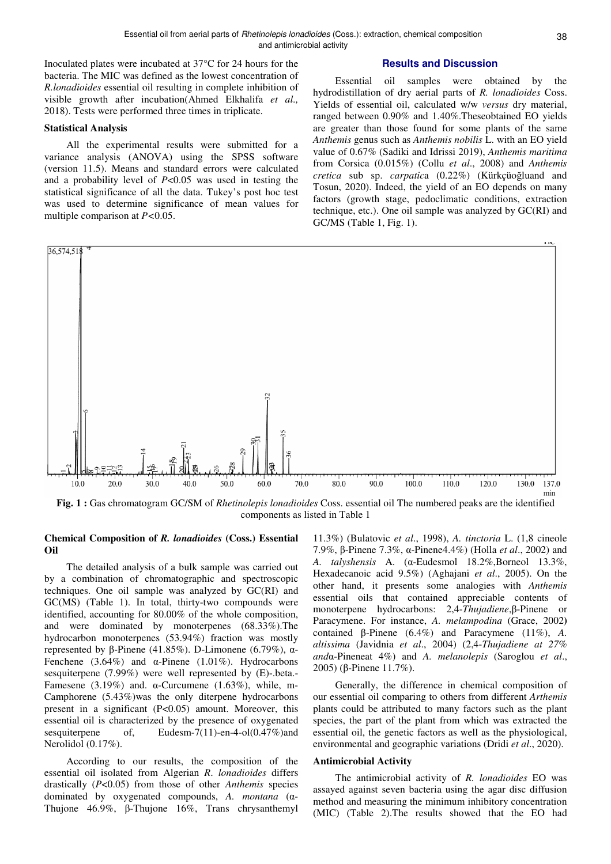Inoculated plates were incubated at 37°C for 24 hours for the bacteria. The MIC was defined as the lowest concentration of *R.lonadioides* essential oil resulting in complete inhibition of visible growth after incubation(Ahmed Elkhalifa *et al.,* 2018). Tests were performed three times in triplicate.

## **Statistical Analysis**

All the experimental results were submitted for a variance analysis (ANOVA) using the SPSS software (version 11.5). Means and standard errors were calculated and a probability level of *P*<0.05 was used in testing the statistical significance of all the data. Tukey's post hoc test was used to determine significance of mean values for multiple comparison at *P<*0.05.

#### **Results and Discussion**

Essential oil samples were obtained by the hydrodistillation of dry aerial parts of *R. lonadioides* Coss. Yields of essential oil, calculated w/w *versus* dry material, ranged between 0.90% and 1.40%.Theseobtained EO yields are greater than those found for some plants of the same *Anthemis* genus such as *Anthemis nobilis* L. with an EO yield value of 0.67% (Sadiki and Idrissi 2019), *Anthemis maritima* from Corsica (0.015%) (Collu *et al*., 2008) and *Anthemis cretica* sub sp. *carpatic*a (0.22%) (Kürkçüoğluand and Tosun, 2020). Indeed, the yield of an EO depends on many factors (growth stage, pedoclimatic conditions, extraction technique, etc.). One oil sample was analyzed by GC(RI) and GC/MS (Table 1, Fig. 1).



**Fig. 1 :** Gas chromatogram GC/SM of *Rhetinolepis lonadioides* Coss. essential oil The numbered peaks are the identified components as listed in Table 1

## **Chemical Composition of** *R. lonadioides* **(Coss.) Essential Oil**

The detailed analysis of a bulk sample was carried out by a combination of chromatographic and spectroscopic techniques. One oil sample was analyzed by GC(RI) and GC(MS) (Table 1). In total, thirty-two compounds were identified, accounting for 80.00% of the whole composition, and were dominated by monoterpenes (68.33%).The hydrocarbon monoterpenes (53.94%) fraction was mostly represented by β-Pinene (41.85%). D-Limonene (6.79%), α-Fenchene (3.64%) and  $\alpha$ -Pinene (1.01%). Hydrocarbons sesquiterpene (7.99%) were well represented by (E)-.beta.- Famesene (3.19%) and. α-Curcumene (1.63%), while, m-Camphorene (5.43%)was the only diterpene hydrocarbons present in a significant (P<0.05) amount. Moreover, this essential oil is characterized by the presence of oxygenated sesquiterpene of, Eudesm-7(11)-en-4-ol(0.47%)and Nerolidol (0.17%).

According to our results, the composition of the essential oil isolated from Algerian *R*. *lonadioides* differs drastically (*P*<0.05) from those of other *Anthemis* species dominated by oxygenated compounds, *A. montana* (α-Thujone 46.9%, β-Thujone 16%, Trans chrysanthemyl

11.3%) (Bulatovic *et al*., 1998), *A. tinctoria* L. (1,8 cineole 7.9%, β-Pinene 7.3%, α-Pinene4.4%) (Holla *et al*., 2002) and *A. talyshensis* A. (α-Eudesmol 18.2%,Borneol 13.3%, Hexadecanoic acid 9.5%) (Aghajani *et al*., 2005). On the other hand, it presents some analogies with *Anthemis*  essential oils that contained appreciable contents of monoterpene hydrocarbons: 2,4-*Thujadiene*,β-Pinene or Paracymene. For instance, *A. melampodina* (Grace, 2002**)** contained β-Pinene (6.4%) and Paracymene (11%), *A. altissima* (Javidnia *et al*., 2004) (2,4-*Thujadiene at 27% and*α-Pineneat 4%) and *A. melanolepis* (Saroglou *et al*., 2005) (β-Pinene 11.7%).

Generally, the difference in chemical composition of our essential oil comparing to others from different *Arthemis* plants could be attributed to many factors such as the plant species, the part of the plant from which was extracted the essential oil, the genetic factors as well as the physiological, environmental and geographic variations (Dridi *et al*., 2020).

#### **Antimicrobial Activity**

The antimicrobial activity of *R. lonadioides* EO was assayed against seven bacteria using the agar disc diffusion method and measuring the minimum inhibitory concentration (MIC) (Table 2).The results showed that the EO had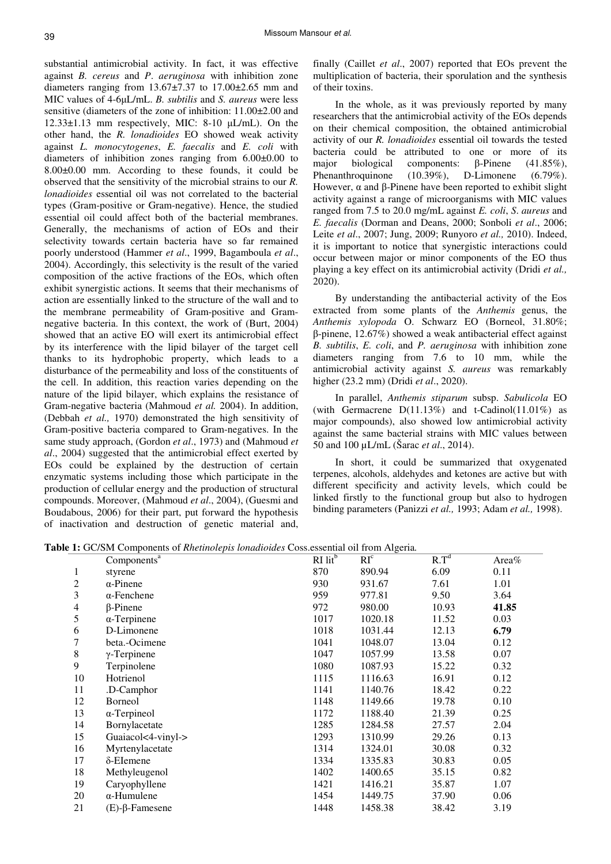substantial antimicrobial activity. In fact, it was effective against *B. cereus* and *P*. *aeruginosa* with inhibition zone diameters ranging from 13.67±7.37 to 17.00±2.65 mm and MIC values of 4-6µL/mL. *B. subtilis* and *S. aureus* were less sensitive (diameters of the zone of inhibition: 11.00±2.00 and 12.33±1.13 mm respectively, MIC: 8-10 µL/mL). On the other hand, the *R. lonadioides* EO showed weak activity against *L. monocytogenes*, *E. faecalis* and *E. coli* with diameters of inhibition zones ranging from 6.00±0.00 to 8.00±0.00 mm. According to these founds, it could be observed that the sensitivity of the microbial strains to our *R. lonadioides* essential oil was not correlated to the bacterial types (Gram-positive or Gram-negative). Hence, the studied essential oil could affect both of the bacterial membranes. Generally, the mechanisms of action of EOs and their selectivity towards certain bacteria have so far remained poorly understood (Hammer *et al*., 1999, Bagamboula *et al*., 2004). Accordingly, this selectivity is the result of the varied composition of the active fractions of the EOs, which often exhibit synergistic actions. It seems that their mechanisms of action are essentially linked to the structure of the wall and to the membrane permeability of Gram-positive and Gramnegative bacteria. In this context, the work of (Burt, 2004) showed that an active EO will exert its antimicrobial effect by its interference with the lipid bilayer of the target cell thanks to its hydrophobic property, which leads to a disturbance of the permeability and loss of the constituents of the cell. In addition, this reaction varies depending on the nature of the lipid bilayer, which explains the resistance of Gram-negative bacteria (Mahmoud *et al.* 2004). In addition, (Debbah *et al.,* 1970) demonstrated the high sensitivity of Gram-positive bacteria compared to Gram-negatives. In the same study approach, (Gordon *et al*., 1973) and (Mahmoud *et al*., 2004) suggested that the antimicrobial effect exerted by EOs could be explained by the destruction of certain enzymatic systems including those which participate in the production of cellular energy and the production of structural compounds. Moreover, (Mahmoud *et al*., 2004), (Guesmi and Boudabous, 2006) for their part, put forward the hypothesis of inactivation and destruction of genetic material and,

finally (Caillet *et al*., 2007) reported that EOs prevent the multiplication of bacteria, their sporulation and the synthesis of their toxins.

In the whole, as it was previously reported by many researchers that the antimicrobial activity of the EOs depends on their chemical composition, the obtained antimicrobial activity of our *R. lonadioides* essential oil towards the tested bacteria could be attributed to one or more of its major biological components: β-Pinene (41.85%), Phenanthroquinone (10.39%), D-Limonene (6.79%). However,  $\alpha$  and β-Pinene have been reported to exhibit slight activity against a range of microorganisms with MIC values ranged from 7.5 to 20.0 mg/mL against *E. coli*, *S*. *aureus* and *E. faecalis* (Dorman and Deans, 2000; Sonboli *et al*., 2006; Leite *et al*., 2007; Jung, 2009; Runyoro *et al.,* 2010). Indeed, it is important to notice that synergistic interactions could occur between major or minor components of the EO thus playing a key effect on its antimicrobial activity (Dridi *et al.,* 2020).

By understanding the antibacterial activity of the Eos extracted from some plants of the *Anthemis* genus, the *Anthemis xylopoda* O. Schwarz EO (Borneol, 31.80%; β-pinene, 12.67%) showed a weak antibacterial effect against *B. subtilis*, *E. coli*, and *P. aeruginosa* with inhibition zone diameters ranging from 7.6 to 10 mm, while the antimicrobial activity against *S. aureus* was remarkably higher (23.2 mm) (Dridi *et al*., 2020).

In parallel, *Anthemis stiparum* subsp. *Sabulicola* EO (with Germacrene  $D(11.13\%)$  and t-Cadinol(11.01%) as major compounds), also showed low antimicrobial activity against the same bacterial strains with MIC values between 50 and 100 µL/mL (Šarac *et al*., 2014).

In short, it could be summarized that oxygenated terpenes, alcohols, aldehydes and ketones are active but with different specificity and activity levels, which could be linked firstly to the functional group but also to hydrogen binding parameters (Panizzi *et al.,* 1993; Adam *et al.,* 1998).

**Table 1:** GC/SM Components of *Rhetinolepis lonadioides* Coss.essential oil from Algeria*.* 

|    | Components <sup>a</sup>   | $\overline{RI}$ lit <sup>b</sup> | -0-<br>$\overline{RI^c}$ | $\overline{R.T^d}$ | Area $%$ |
|----|---------------------------|----------------------------------|--------------------------|--------------------|----------|
| 1  | styrene                   | 870                              | 890.94                   | 6.09               | 0.11     |
| 2  | $\alpha$ -Pinene          | 930                              | 931.67                   | 7.61               | 1.01     |
| 3  | $\alpha$ -Fenchene        | 959                              | 977.81                   | 9.50               | 3.64     |
| 4  | $\beta$ -Pinene           | 972                              | 980.00                   | 10.93              | 41.85    |
| 5  | $\alpha$ -Terpinene       | 1017                             | 1020.18                  | 11.52              | 0.03     |
| 6  | D-Limonene                | 1018                             | 1031.44                  | 12.13              | 6.79     |
| 7  | beta.-Ocimene             | 1041                             | 1048.07                  | 13.04              | 0.12     |
| 8  | $\gamma$ -Terpinene       | 1047                             | 1057.99                  | 13.58              | 0.07     |
| 9  | Terpinolene               | 1080                             | 1087.93                  | 15.22              | 0.32     |
| 10 | Hotrienol                 | 1115                             | 1116.63                  | 16.91              | 0.12     |
| 11 | .D-Camphor                | 1141                             | 1140.76                  | 18.42              | 0.22     |
| 12 | <b>Borneol</b>            | 1148                             | 1149.66                  | 19.78              | 0.10     |
| 13 | $\alpha$ -Terpineol       | 1172                             | 1188.40                  | 21.39              | 0.25     |
| 14 | Bornylacetate             | 1285                             | 1284.58                  | 27.57              | 2.04     |
| 15 | Guaiacol<4-vinyl->        | 1293                             | 1310.99                  | 29.26              | 0.13     |
| 16 | Myrtenylacetate           | 1314                             | 1324.01                  | 30.08              | 0.32     |
| 17 | $\delta$ -Elemene         | 1334                             | 1335.83                  | 30.83              | 0.05     |
| 18 | Methyleugenol             | 1402                             | 1400.65                  | 35.15              | 0.82     |
| 19 | Caryophyllene             | 1421                             | 1416.21                  | 35.87              | 1.07     |
| 20 | $\alpha$ -Humulene        | 1454                             | 1449.75                  | 37.90              | 0.06     |
| 21 | $(E)$ - $\beta$ -Famesene | 1448                             | 1458.38                  | 38.42              | 3.19     |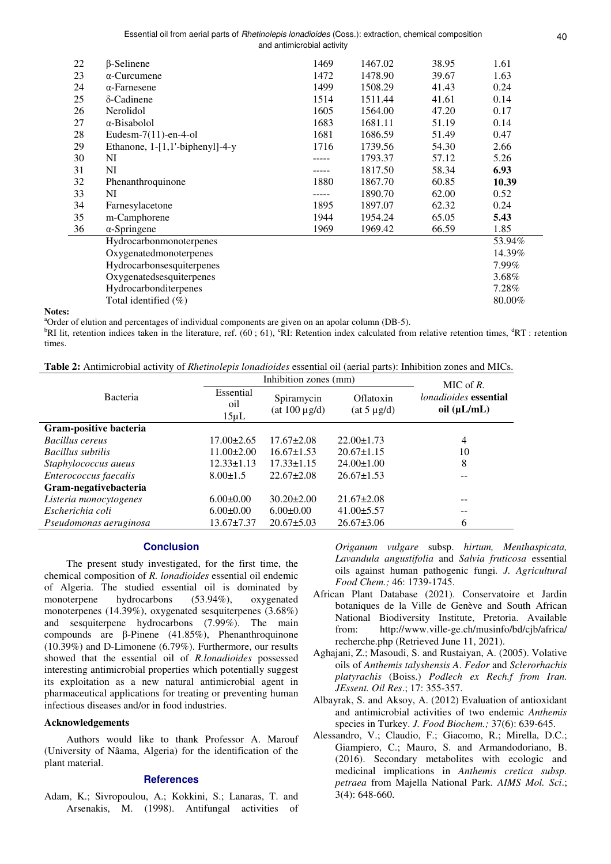| 22 | $\beta$ -Selinene               | 1469 | 1467.02 | 38.95 | 1.61   |
|----|---------------------------------|------|---------|-------|--------|
| 23 | $\alpha$ -Curcumene             | 1472 | 1478.90 | 39.67 | 1.63   |
| 24 | $\alpha$ -Farnesene             | 1499 | 1508.29 | 41.43 | 0.24   |
| 25 | $\delta$ -Cadinene              | 1514 | 1511.44 | 41.61 | 0.14   |
| 26 | Nerolidol                       | 1605 | 1564.00 | 47.20 | 0.17   |
| 27 | $\alpha$ -Bisabolol             | 1683 | 1681.11 | 51.19 | 0.14   |
| 28 | Eudesm- $7(11)$ -en-4-ol        | 1681 | 1686.59 | 51.49 | 0.47   |
| 29 | Ethanone, 1-[1,1'-biphenyl]-4-y | 1716 | 1739.56 | 54.30 | 2.66   |
| 30 | NI                              |      | 1793.37 | 57.12 | 5.26   |
| 31 | NI                              |      | 1817.50 | 58.34 | 6.93   |
| 32 | Phenanthroquinone               | 1880 | 1867.70 | 60.85 | 10.39  |
| 33 | NI                              |      | 1890.70 | 62.00 | 0.52   |
| 34 | Farnesylacetone                 | 1895 | 1897.07 | 62.32 | 0.24   |
| 35 | m-Camphorene                    | 1944 | 1954.24 | 65.05 | 5.43   |
| 36 | $\alpha$ -Springene             | 1969 | 1969.42 | 66.59 | 1.85   |
|    | Hydrocarbonmonoterpenes         |      |         |       | 53.94% |
|    | Oxygenatedmonoterpenes          |      |         |       | 14.39% |
|    | Hydrocarbonsesquiterpenes       |      |         |       | 7.99%  |
|    | Oxygenatedsesquiterpenes        |      |         |       | 3.68%  |
|    | Hydrocarbonditerpenes           |      |         |       | 7.28%  |
|    | Total identified $(\%)$         |      |         |       | 80.00% |
|    |                                 |      |         |       |        |

#### **Notes:**

<sup>a</sup>Order of elution and percentages of individual components are given on an apolar column (DB-5).

<sup>b</sup>RI lit, retention indices taken in the literature, ref.  $(60, 61)$ ,  ${}^c$ RI: Retention index calculated from relative retention times,  ${}^d$ RT : retention times.

|  |  | <b>Table 2:</b> Antimicrobial activity of <i>Rhetinolepis lonadioides</i> essential oil (aerial parts): Inhibition zones and MICs. |
|--|--|------------------------------------------------------------------------------------------------------------------------------------|
|--|--|------------------------------------------------------------------------------------------------------------------------------------|

|                        | Inhibition zones (mm)          |                                   |                               | MIC of R.                                        |  |
|------------------------|--------------------------------|-----------------------------------|-------------------------------|--------------------------------------------------|--|
| Bacteria               | Essential<br>oil<br>$15 \mu L$ | Spiramycin<br>(at $100 \mu g/d$ ) | Oflatoxin<br>$(at 5 \mu g/d)$ | <i>lonadioides</i> essential<br>oil $(\mu L/mL)$ |  |
| Gram-positive bacteria |                                |                                   |                               |                                                  |  |
| Bacillus cereus        | $17.00 \pm 2.65$               | $17.67 \pm 2.08$                  | $22.00 \pm 1.73$              | $\overline{4}$                                   |  |
| Bacillus subtilis      | $11.00 \pm 2.00$               | $16.67 \pm 1.53$                  | $20.67 \pm 1.15$              | 10                                               |  |
| Staphylococcus aueus   | $12.33 \pm 1.13$               | $17.33 \pm 1.15$                  | $24.00 \pm 1.00$              | 8                                                |  |
| Enterococcus faecalis  | $8.00 \pm 1.5$                 | $22.67 \pm 2.08$                  | $26.67 \pm 1.53$              | --                                               |  |
| Gram-negativebacteria  |                                |                                   |                               |                                                  |  |
| Listeria monocytogenes | $6.00 \pm 0.00$                | $30.20 \pm 2.00$                  | $21.67 \pm 2.08$              | $- -$                                            |  |
| Escherichia coli       | $6.00 \pm 0.00$                | $6.00 \pm 0.00$                   | $41.00\pm5.57$                | $- -$                                            |  |
| Pseudomonas aeruginosa | $13.67 \pm 7.37$               | $20.67 \pm 5.03$                  | $26.67 \pm 3.06$              | 6                                                |  |

## **Conclusion**

The present study investigated, for the first time, the chemical composition of *R. lonadioides* essential oil endemic of Algeria. The studied essential oil is dominated by monoterpene hydrocarbons (53.94%), oxygenated monoterpenes (14.39%), oxygenated sesquiterpenes (3.68%) and sesquiterpene hydrocarbons (7.99%). The main compounds are β-Pinene (41.85%), Phenanthroquinone (10.39%) and D-Limonene (6.79%). Furthermore, our results showed that the essential oil of *R.lonadioides* possessed interesting antimicrobial properties which potentially suggest its exploitation as a new natural antimicrobial agent in pharmaceutical applications for treating or preventing human infectious diseases and/or in food industries.

## **Acknowledgements**

Authors would like to thank Professor A. Marouf (University of Nâama, Algeria) for the identification of the plant material.

## **References**

Adam, K.; Sivropoulou, A.; Kokkini, S.; Lanaras, T. and Arsenakis, M. (1998). Antifungal activities of *Origanum vulgare* subsp. *hirtum, Menthaspicata, Lavandula angustifolia* and *Salvia fruticosa* essential oils against human pathogenic fungi*. J. Agricultural Food Chem.;* 46: 1739-1745.

- African Plant Database (2021). Conservatoire et Jardin botaniques de la Ville de Genève and South African National Biodiversity Institute, Pretoria. Available from: http://www.ville-ge.ch/musinfo/bd/cjb/africa/ recherche.php (Retrieved June 11, 2021).
- Aghajani, Z.; Masoudi, S. and Rustaiyan, A. (2005). Volative oils of *Anthemis talyshensis A*. *Fedor* and *Sclerorhachis platyrachis* (Boiss.) *Podlech ex Rech.f from Iran. JEssent. Oil Res*.; 17: 355-357.
- Albayrak, S. and Aksoy, A. (2012) Evaluation of antioxidant and antimicrobial activities of two endemic *Anthemis* species in Turkey. *J. Food Biochem.;* 37(6): 639-645.
- Alessandro, V.; Claudio, F.; Giacomo, R.; Mirella, D.C.; Giampiero, C.; Mauro, S. and Armandodoriano, B. (2016). Secondary metabolites with ecologic and medicinal implications in *Anthemis cretica subsp. petraea* from Majella National Park. *AIMS Mol. Sci*.; 3(4): 648-660.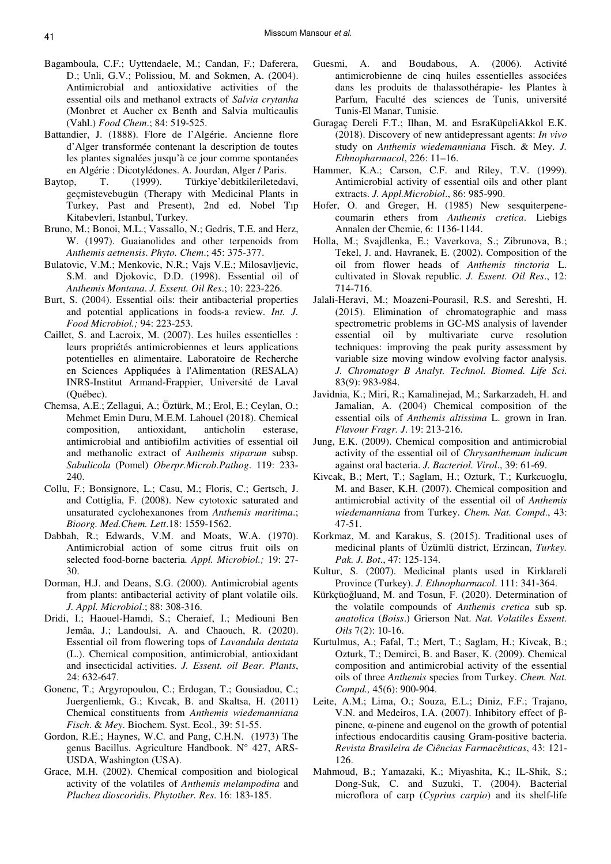- Bagamboula, C.F.; Uyttendaele, M.; Candan, F.; Daferera, D.; Unli, G.V.; Polissiou, M. and Sokmen, A. (2004). Antimicrobial and antioxidative activities of the essential oils and methanol extracts of *Salvia crytanha* (Monbret et Aucher ex Benth and Salvia multicaulis (Vahl.) *Food Chem*.; 84: 519-525.
- Battandier, J. (1888). Flore de l'Algérie. Ancienne flore d'Alger transformée contenant la description de toutes les plantes signalées jusqu'à ce jour comme spontanées en Algérie : Dicotylédones. A. Jourdan, Alger / Paris.
- Baytop, T. (1999). Türkiye'debitkileriletedavi, geçmistevebugün (Therapy with Medicinal Plants in Turkey, Past and Present), 2nd ed. Nobel Tıp Kitabevleri, Istanbul, Turkey.
- Bruno, M.; Bonoi, M.L.; Vassallo, N.; Gedris, T.E. and Herz, W. (1997). Guaianolides and other terpenoids from *Anthemis aetnensis*. *Phyto. Chem*.; 45: 375-377.
- Bulatovic, V.M.; Menkovic, N.R.; Vajs V.E.; Milosavljevic, S.M. and Djokovic, D.D. (1998). Essential oil of *Anthemis Montana*. *J. Essent. Oil Res*.; 10: 223-226.
- Burt, S. (2004). Essential oils: their antibacterial properties and potential applications in foods-a review. *Int. J. Food Microbiol.;* 94: 223-253.
- Caillet, S. and Lacroix, M. (2007). Les huiles essentielles : leurs propriétés antimicrobiennes et leurs applications potentielles en alimentaire. Laboratoire de Recherche en Sciences Appliquées à l'Alimentation (RESALA) INRS-Institut Armand-Frappier, Université de Laval (Québec).
- Chemsa, A.E.; Zellagui, A.; Öztürk, M.; Erol, E.; Ceylan, O.; Mehmet Emin Duru, M.E.M. Lahouel (2018). Chemical composition, antioxidant, anticholin esterase, antimicrobial and antibiofilm activities of essential oil and methanolic extract of *Anthemis stiparum* subsp. *Sabulicola* (Pomel) *Oberpr.Microb.Pathog*. 119: 233- 240.
- Collu, F.; Bonsignore, L.; Casu, M.; Floris, C.; Gertsch, J. and Cottiglia, F. (2008). New cytotoxic saturated and unsaturated cyclohexanones from *Anthemis maritima*.; *Bioorg. Med.Chem. Lett*.18: 1559-1562.
- Dabbah, R.; Edwards, V.M. and Moats, W.A. (1970). Antimicrobial action of some citrus fruit oils on selected food-borne bacteria*. Appl. Microbiol.;* 19: 27- 30.
- Dorman, H.J. and Deans, S.G. (2000). Antimicrobial agents from plants: antibacterial activity of plant volatile oils. *J. Appl. Microbiol*.; 88: 308-316.
- Dridi, I.; Haouel-Hamdi, S.; Cheraief, I.; Mediouni Ben Jemâa, J.; Landoulsi, A. and Chaouch, R. (2020). Essential oil from flowering tops of *Lavandula dentata* (L.). Chemical composition, antimicrobial, antioxidant and insecticidal activities. *J. Essent. oil Bear. Plants*, 24: 632-647.
- Gonenc, T.; Argyropoulou, C.; Erdogan, T.; Gousiadou, C.; Juergenliemk, G.; Kıvcak, B. and Skaltsa, H. (2011) Chemical constituents from *Anthemis wiedemanniana Fisch*. & *Mey*. Biochem. Syst. Ecol., 39: 51-55.
- Gordon, R.E.; Haynes, W.C. and Pang, C.H.N. (1973) The genus Bacillus. Agriculture Handbook. N° 427, ARS-USDA, Washington (USA**)**.
- Grace, M.H. (2002). Chemical composition and biological activity of the volatiles of *Anthemis melampodina* and *Pluchea dioscoridis*. *Phytother. Res*. 16: 183-185.
- Guesmi, A. and Boudabous, A. (2006). Activité antimicrobienne de cinq huiles essentielles associées dans les produits de thalassothérapie- les Plantes à Parfum, Faculté des sciences de Tunis, université Tunis-El Manar, Tunisie.
- Guragaç Dereli F.T.; Ilhan, M. and EsraKüpeliAkkol E.K. (2018). Discovery of new antidepressant agents: *In vivo* study on *Anthemis wiedemanniana* Fisch. & Mey. *J. Ethnopharmacol*, 226: 11–16.
- Hammer, K.A.; Carson, C.F. and Riley, T.V. (1999). Antimicrobial activity of essential oils and other plant extracts. *J. Appl.Microbiol*., 86: 985-990.
- Hofer, O. and Greger, H. (1985) New sesquiterpenecoumarin ethers from *Anthemis cretica*. Liebigs Annalen der Chemie, 6: 1136-1144.
- Holla, M.; Svajdlenka, E.; Vaverkova, S.; Zibrunova, B.; Tekel, J. and. Havranek, E. (2002). Composition of the oil from flower heads of *Anthemis tinctoria* L. cultivated in Slovak republic. *J. Essent. Oil Res*., 12: 714-716.
- Jalali-Heravi, M.; Moazeni-Pourasil, R.S. and Sereshti, H. (2015). Elimination of chromatographic and mass spectrometric problems in GC-MS analysis of lavender essential oil by multivariate curve resolution techniques: improving the peak purity assessment by variable size moving window evolving factor analysis. *J. Chromatogr B Analyt. Technol. Biomed. Life Sci.* 83(9): 983-984.
- Javidnia, K.; Miri, R.; Kamalinejad, M.; Sarkarzadeh, H. and Jamalian, A. (2004) Chemical composition of the essential oils of *Anthemis altissima* L. grown in Iran. *Flavour Fragr. J*. 19: 213-216.
- Jung, E.K. (2009). Chemical composition and antimicrobial activity of the essential oil of *Chrysanthemum indicum* against oral bacteria. *J. Bacteriol. Virol*., 39: 61-69.
- Kivcak, B.; Mert, T.; Saglam, H.; Ozturk, T.; Kurkcuoglu, M. and Baser, K.H. (2007). Chemical composition and antimicrobial activity of the essential oil of *Anthemis wiedemanniana* from Turkey. *Chem. Nat. Compd*., 43: 47-51.
- Korkmaz, M. and Karakus, S. (2015). Traditional uses of medicinal plants of Üzümlü district, Erzincan, *Turkey. Pak. J. Bot*., 47: 125-134.
- Kultur, S. (2007). Medicinal plants used in Kirklareli Province (Turkey). *J. Ethnopharmacol*. 111: 341-364.
- Kürkçüoğluand, M. and Tosun, F. (2020). Determination of the volatile compounds of *Anthemis cretica* sub sp. *anatolica* (*Boiss*.) Grierson Nat. *Nat. Volatiles Essent. Oils* 7(2): 10-16.
- Kurtulmus, A.; Fafal, T.; Mert, T.; Saglam, H.; Kivcak, B.; Ozturk, T.; Demirci, B. and Baser, K. (2009). Chemical composition and antimicrobial activity of the essential oils of three *Anthemis* species from Turkey. *Chem. Nat. Compd.,* 45(6): 900-904.
- Leite, A.M.; Lima, O.; Souza, E.L.; Diniz, F.F.; Trajano, V.N. and Medeiros, I.A. (2007). Inhibitory effect of βpinene, α-pinene and eugenol on the growth of potential infectious endocarditis causing Gram-positive bacteria. *Revista Brasileira de Ciências Farmacêuticas*, 43: 121- 126.
- Mahmoud, B.; Yamazaki, K.; Miyashita, K.; IL-Shik, S.; Dong-Suk, C. and Suzuki, T. (2004). Bacterial microflora of carp (*Cyprius carpio*) and its shelf-life